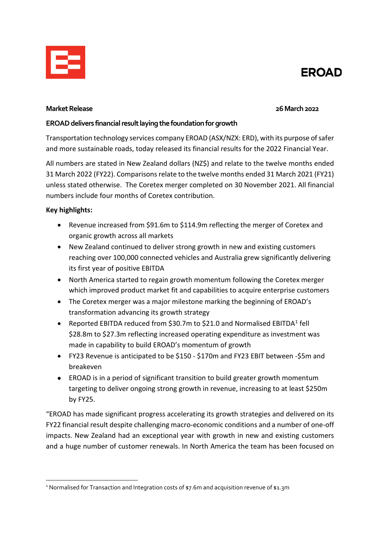

# **EROAD**

#### **Market Release 26 March 2022**

## **EROAD delivers financial result laying the foundation for growth**

Transportation technology services company EROAD (ASX/NZX: ERD), with its purpose of safer and more sustainable roads, today released its financial results for the 2022 Financial Year.

All numbers are stated in New Zealand dollars (NZ\$) and relate to the twelve months ended 31 March 2022 (FY22). Comparisons relate to the twelve months ended 31 March 2021 (FY21) unless stated otherwise. The Coretex merger completed on 30 November 2021. All financial numbers include four months of Coretex contribution.

# **Key highlights:**

- Revenue increased from \$91.6m to \$114.9m reflecting the merger of Coretex and organic growth across all markets
- New Zealand continued to deliver strong growth in new and existing customers reaching over 100,000 connected vehicles and Australia grew significantly delivering its first year of positive EBITDA
- North America started to regain growth momentum following the Coretex merger which improved product market fit and capabilities to acquire enterprise customers
- The Coretex merger was a major milestone marking the beginning of EROAD's transformation advancing its growth strategy
- Reported EBITDA reduced from \$30.7m to \$2[1](#page-0-0).0 and Normalised EBITDA1 fell \$28.8m to \$27.3m reflecting increased operating expenditure as investment was made in capability to build EROAD's momentum of growth
- FY23 Revenue is anticipated to be \$150 \$170m and FY23 EBIT between -\$5m and breakeven
- EROAD is in a period of significant transition to build greater growth momentum targeting to deliver ongoing strong growth in revenue, increasing to at least \$250m by FY25.

"EROAD has made significant progress accelerating its growth strategies and delivered on its FY22 financial result despite challenging macro-economic conditions and a number of one-off impacts. New Zealand had an exceptional year with growth in new and existing customers and a huge number of customer renewals. In North America the team has been focused on

<span id="page-0-0"></span><sup>&</sup>lt;sup>1</sup> Normalised for Transaction and Integration costs of \$7.6m and acquisition revenue of \$1.3m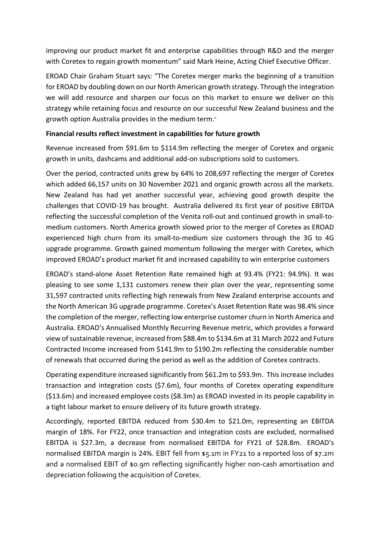improving our product market fit and enterprise capabilities through R&D and the merger with Coretex to regain growth momentum" said Mark Heine, Acting Chief Executive Officer.

EROAD Chair Graham Stuart says: "The Coretex merger marks the beginning of a transition for EROAD by doubling down on our North American growth strategy. Through the integration we will add resource and sharpen our focus on this market to ensure we deliver on this strategy while retaining focus and resource on our successful New Zealand business and the growth option Australia provides in the medium term."

#### **Financial results reflect investment in capabilities for future growth**

Revenue increased from \$91.6m to \$114.9m reflecting the merger of Coretex and organic growth in units, dashcams and additional add-on subscriptions sold to customers.

Over the period, contracted units grew by 64% to 208,697 reflecting the merger of Coretex which added 66,157 units on 30 November 2021 and organic growth across all the markets. New Zealand has had yet another successful year, achieving good growth despite the challenges that COVID-19 has brought. Australia delivered its first year of positive EBITDA reflecting the successful completion of the Venita roll-out and continued growth in small-tomedium customers. North America growth slowed prior to the merger of Coretex as EROAD experienced high churn from its small-to-medium size customers through the 3G to 4G upgrade programme. Growth gained momentum following the merger with Coretex, which improved EROAD's product market fit and increased capability to win enterprise customers

EROAD's stand-alone Asset Retention Rate remained high at 93.4% (FY21: 94.9%). It was pleasing to see some 1,131 customers renew their plan over the year, representing some 31,597 contracted units reflecting high renewals from New Zealand enterprise accounts and the North American 3G upgrade programme. Coretex's Asset Retention Rate was 98.4% since the completion of the merger, reflecting low enterprise customer churn in North America and Australia. EROAD's Annualised Monthly Recurring Revenue metric, which provides a forward view of sustainable revenue, increased from \$88.4m to \$134.6m at 31 March 2022 and Future Contracted Income increased from \$141.9m to \$190.2m reflecting the considerable number of renewals that occurred during the period as well as the addition of Coretex contracts.

Operating expenditure increased significantly from \$61.2m to \$93.9m. This increase includes transaction and integration costs (\$7.6m), four months of Coretex operating expenditure (\$13.6m) and increased employee costs (\$8.3m) as EROAD invested in its people capability in a tight labour market to ensure delivery of its future growth strategy.

Accordingly, reported EBITDA reduced from \$30.4m to \$21.0m, representing an EBITDA margin of 18%. For FY22, once transaction and integration costs are excluded, normalised EBITDA is \$27.3m, a decrease from normalised EBITDA for FY21 of \$28.8m. EROAD's normalised EBITDA margin is 24%. EBIT fell from \$5.1m in FY21 to a reported loss of \$7.2m and a normalised EBIT of \$0.9m reflecting significantly higher non-cash amortisation and depreciation following the acquisition of Coretex.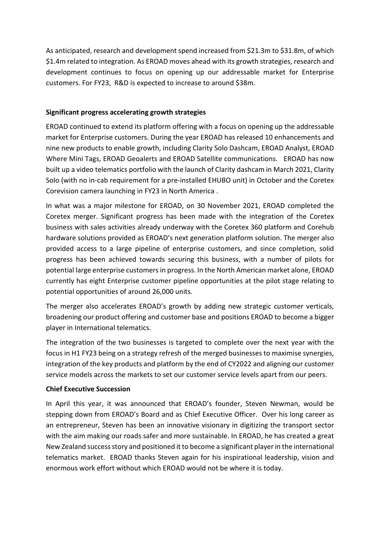As anticipated, research and development spend increased from \$21.3m to \$31.8m, of which \$1.4m related to integration. As EROAD moves ahead with its growth strategies, research and development continues to focus on opening up our addressable market for Enterprise customers. For FY23, R&D is expected to increase to around \$38m.

## **Significant progress accelerating growth strategies**

EROAD continued to extend its platform offering with a focus on opening up the addressable market for Enterprise customers. During the year EROAD has released 10 enhancements and nine new products to enable growth, including Clarity Solo Dashcam, EROAD Analyst, EROAD Where Mini Tags, EROAD Geoalerts and EROAD Satellite communications. EROAD has now built up a video telematics portfolio with the launch of Clarity dashcam in March 2021, Clarity Solo (with no in-cab requirement for a pre-installed EHUBO unit) in October and the Coretex Corevision camera launching in FY23 in North America .

In what was a major milestone for EROAD, on 30 November 2021, EROAD completed the Coretex merger. Significant progress has been made with the integration of the Coretex business with sales activities already underway with the Coretex 360 platform and Corehub hardware solutions provided as EROAD's next generation platform solution. The merger also provided access to a large pipeline of enterprise customers, and since completion, solid progress has been achieved towards securing this business, with a number of pilots for potential large enterprise customers in progress. In the North American market alone, EROAD currently has eight Enterprise customer pipeline opportunities at the pilot stage relating to potential opportunities of around 26,000 units.

The merger also accelerates EROAD's growth by adding new strategic customer verticals, broadening our product offering and customer base and positions EROAD to become a bigger player in International telematics.

The integration of the two businesses is targeted to complete over the next year with the focus in H1 FY23 being on a strategy refresh of the merged businesses to maximise synergies, integration of the key products and platform by the end of CY2022 and aligning our customer service models across the markets to set our customer service levels apart from our peers.

#### **Chief Executive Succession**

In April this year, it was announced that EROAD's founder, Steven Newman, would be stepping down from EROAD's Board and as Chief Executive Officer. Over his long career as an entrepreneur, Steven has been an innovative visionary in digitizing the transport sector with the aim making our roads safer and more sustainable. In EROAD, he has created a great New Zealand success story and positioned it to become a significant player in the international telematics market. EROAD thanks Steven again for his inspirational leadership, vision and enormous work effort without which EROAD would not be where it is today.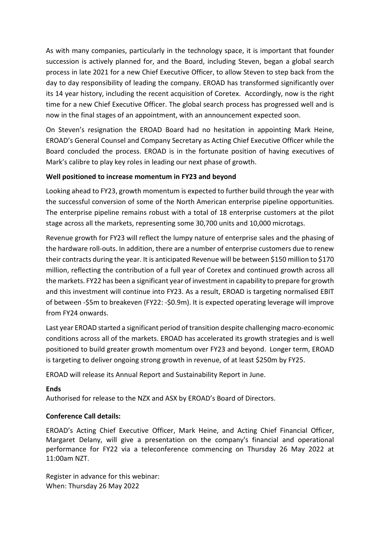As with many companies, particularly in the technology space, it is important that founder succession is actively planned for, and the Board, including Steven, began a global search process in late 2021 for a new Chief Executive Officer, to allow Steven to step back from the day to day responsibility of leading the company. EROAD has transformed significantly over its 14 year history, including the recent acquisition of Coretex. Accordingly, now is the right time for a new Chief Executive Officer. The global search process has progressed well and is now in the final stages of an appointment, with an announcement expected soon.

On Steven's resignation the EROAD Board had no hesitation in appointing Mark Heine, EROAD's General Counsel and Company Secretary as Acting Chief Executive Officer while the Board concluded the process. EROAD is in the fortunate position of having executives of Mark's calibre to play key roles in leading our next phase of growth.

#### **Well positioned to increase momentum in FY23 and beyond**

Looking ahead to FY23, growth momentum is expected to further build through the year with the successful conversion of some of the North American enterprise pipeline opportunities. The enterprise pipeline remains robust with a total of 18 enterprise customers at the pilot stage across all the markets, representing some 30,700 units and 10,000 microtags.

Revenue growth for FY23 will reflect the lumpy nature of enterprise sales and the phasing of the hardware roll-outs. In addition, there are a number of enterprise customers due to renew their contracts during the year. It is anticipated Revenue will be between \$150 million to \$170 million, reflecting the contribution of a full year of Coretex and continued growth across all the markets. FY22 has been a significant year of investment in capability to prepare for growth and this investment will continue into FY23. As a result, EROAD is targeting normalised EBIT of between -\$5m to breakeven (FY22: -\$0.9m). It is expected operating leverage will improve from FY24 onwards.

Last year EROAD started a significant period of transition despite challenging macro-economic conditions across all of the markets. EROAD has accelerated its growth strategies and is well positioned to build greater growth momentum over FY23 and beyond. Longer term, EROAD is targeting to deliver ongoing strong growth in revenue, of at least \$250m by FY25.

EROAD will release its Annual Report and Sustainability Report in June.

#### **Ends**

Authorised for release to the NZX and ASX by EROAD's Board of Directors.

#### **Conference Call details:**

EROAD's Acting Chief Executive Officer, Mark Heine, and Acting Chief Financial Officer, Margaret Delany, will give a presentation on the company's financial and operational performance for FY22 via a teleconference commencing on Thursday 26 May 2022 at 11:00am NZT.

Register in advance for this webinar: When: Thursday 26 May 2022